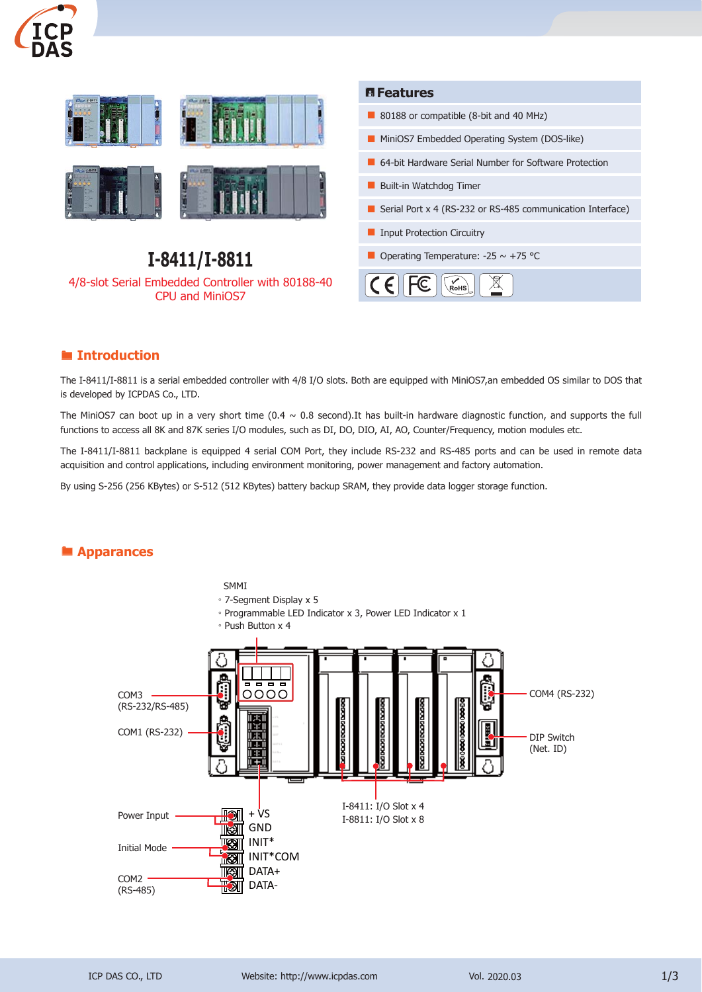



#### **Introduction**

The I-8411/I-8811 is a serial embedded controller with 4/8 I/O slots. Both are equipped with MiniOS7,an embedded OS similar to DOS that is developed by ICPDAS Co., LTD.

The MiniOS7 can boot up in a very short time  $(0.4 \sim 0.8 \text{ second}).$ It has built-in hardware diagnostic function, and supports the full functions to access all 8K and 87K series I/O modules, such as DI, DO, DIO, AI, AO, Counter/Frequency, motion modules etc.

The I-8411/I-8811 backplane is equipped 4 serial COM Port, they include RS-232 and RS-485 ports and can be used in remote data acquisition and control applications, including environment monitoring, power management and factory automation.

By using S-256 (256 KBytes) or S-512 (512 KBytes) battery backup SRAM, they provide data logger storage function.

#### **Apparances**

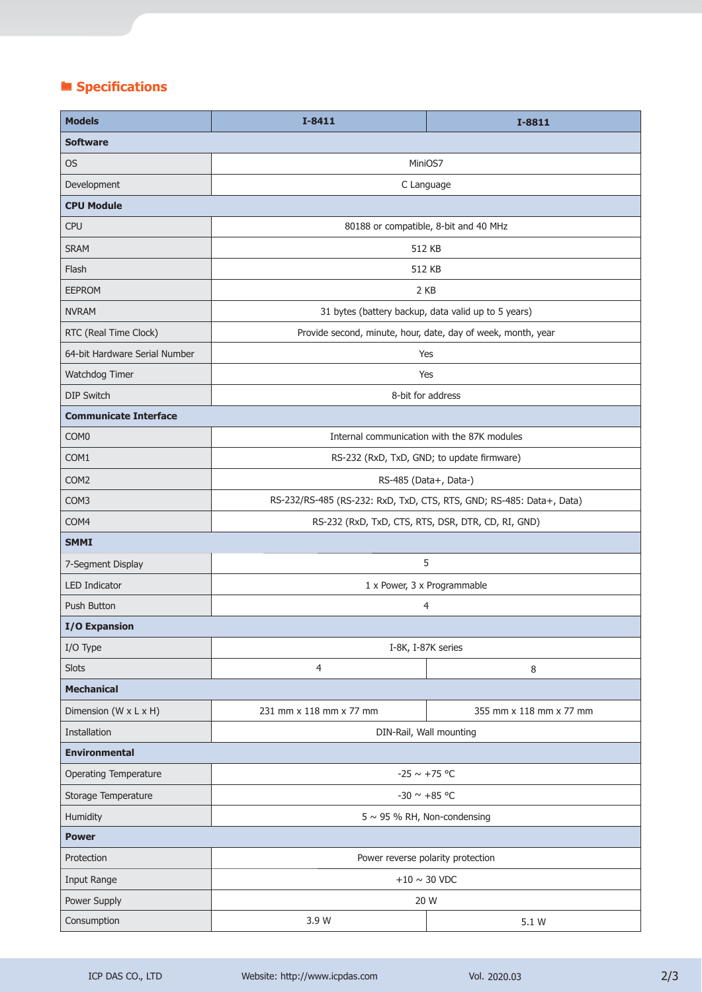# **Specifications**

| <b>Models</b>                 | $I-8411$                                                             | $I-8811$                |
|-------------------------------|----------------------------------------------------------------------|-------------------------|
| <b>Software</b>               |                                                                      |                         |
| <b>OS</b>                     | MiniOS7                                                              |                         |
| Development                   | C Language                                                           |                         |
| <b>CPU Module</b>             |                                                                      |                         |
| <b>CPU</b>                    | 80188 or compatible, 8-bit and 40 MHz                                |                         |
| <b>SRAM</b>                   | 512 KB                                                               |                         |
| Flash                         | 512 KB                                                               |                         |
| <b>EEPROM</b>                 | 2 KB                                                                 |                         |
| <b>NVRAM</b>                  | 31 bytes (battery backup, data valid up to 5 years)                  |                         |
| RTC (Real Time Clock)         | Provide second, minute, hour, date, day of week, month, year         |                         |
| 64-bit Hardware Serial Number | Yes                                                                  |                         |
| Watchdog Timer                | Yes                                                                  |                         |
| <b>DIP Switch</b>             | 8-bit for address                                                    |                         |
| <b>Communicate Interface</b>  |                                                                      |                         |
| COM <sub>0</sub>              | Internal communication with the 87K modules                          |                         |
| COM1                          | RS-232 (RxD, TxD, GND; to update firmware)                           |                         |
| COM <sub>2</sub>              | RS-485 (Data+, Data-)                                                |                         |
| COM3                          | RS-232/RS-485 (RS-232: RxD, TxD, CTS, RTS, GND; RS-485: Data+, Data) |                         |
| COM4                          | RS-232 (RxD, TxD, CTS, RTS, DSR, DTR, CD, RI, GND)                   |                         |
| <b>SMMI</b>                   |                                                                      |                         |
| 7-Segment Display             | 5                                                                    |                         |
| <b>LED Indicator</b>          | 1 x Power, 3 x Programmable                                          |                         |
| Push Button                   | 4                                                                    |                         |
| <b>I/O Expansion</b>          |                                                                      |                         |
| I/O Type                      | I-8K, I-87K series                                                   |                         |
| <b>Slots</b>                  | $\overline{4}$                                                       | 8                       |
| <b>Mechanical</b>             |                                                                      |                         |
| Dimension (W x L x H)         | 231 mm x 118 mm x 77 mm                                              | 355 mm x 118 mm x 77 mm |
| Installation                  | DIN-Rail, Wall mounting                                              |                         |
| <b>Environmental</b>          |                                                                      |                         |
| <b>Operating Temperature</b>  | $-25 \sim +75$ °C                                                    |                         |
| Storage Temperature           | -30 $\sim$ +85 °C                                                    |                         |
| Humidity                      | $5 \sim 95$ % RH, Non-condensing                                     |                         |
| <b>Power</b>                  |                                                                      |                         |
| Protection                    | Power reverse polarity protection                                    |                         |
| Input Range                   | $+10\sim30$ VDC                                                      |                         |
| Power Supply                  | 20 W                                                                 |                         |
| Consumption                   | 3.9 W                                                                | 5.1 W                   |